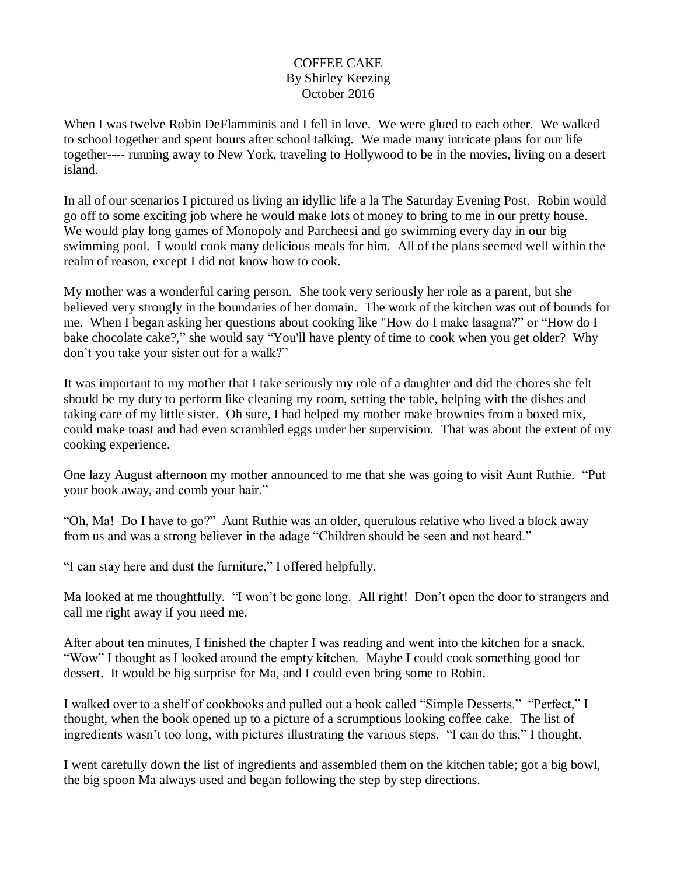## COFFEE CAKE By Shirley Keezing October 2016

When I was twelve Robin DeFlamminis and I fell in love. We were glued to each other. We walked to school together and spent hours after school talking. We made many intricate plans for our life together---- running away to New York, traveling to Hollywood to be in the movies, living on a desert island.

In all of our scenarios I pictured us living an idyllic life a la The Saturday Evening Post. Robin would go off to some exciting job where he would make lots of money to bring to me in our pretty house. We would play long games of Monopoly and Parcheesi and go swimming every day in our big swimming pool. I would cook many delicious meals for him. All of the plans seemed well within the realm of reason, except I did not know how to cook.

My mother was a wonderful caring person. She took very seriously her role as a parent, but she believed very strongly in the boundaries of her domain. The work of the kitchen was out of bounds for me. When I began asking her questions about cooking like "How do I make lasagna?" or "How do I bake chocolate cake?," she would say "You'll have plenty of time to cook when you get older? Why don't you take your sister out for a walk?"

It was important to my mother that I take seriously my role of a daughter and did the chores she felt should be my duty to perform like cleaning my room, setting the table, helping with the dishes and taking care of my little sister. Oh sure, I had helped my mother make brownies from a boxed mix, could make toast and had even scrambled eggs under her supervision. That was about the extent of my cooking experience.

One lazy August afternoon my mother announced to me that she was going to visit Aunt Ruthie. "Put your book away, and comb your hair."

"Oh, Ma! Do I have to go?" Aunt Ruthie was an older, querulous relative who lived a block away from us and was a strong believer in the adage "Children should be seen and not heard."

"I can stay here and dust the furniture," I offered helpfully.

Ma looked at me thoughtfully. "I won't be gone long. All right! Don't open the door to strangers and call me right away if you need me.

After about ten minutes, I finished the chapter I was reading and went into the kitchen for a snack. "Wow" I thought as I looked around the empty kitchen. Maybe I could cook something good for dessert. It would be big surprise for Ma, and I could even bring some to Robin.

I walked over to a shelf of cookbooks and pulled out a book called "Simple Desserts." "Perfect," I thought, when the book opened up to a picture of a scrumptious looking coffee cake. The list of ingredients wasn't too long, with pictures illustrating the various steps. "I can do this," I thought.

I went carefully down the list of ingredients and assembled them on the kitchen table; got a big bowl, the big spoon Ma always used and began following the step by step directions.